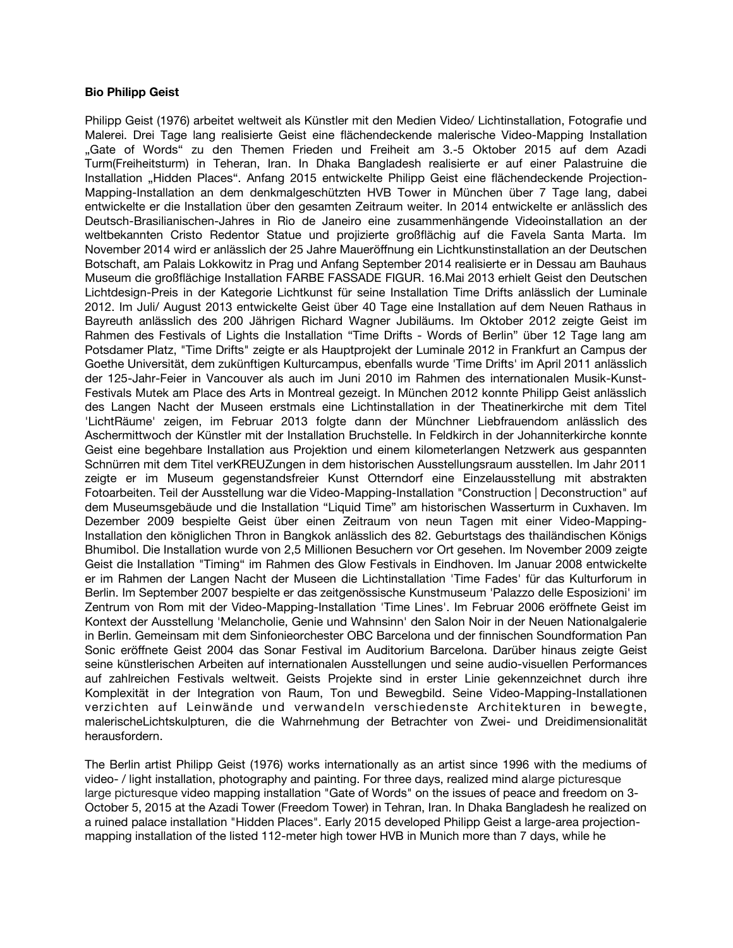## **Bio Philipp Geist**

Philipp Geist (1976) arbeitet weltweit als Künstler mit den Medien Video/ Lichtinstallation, Fotografie und Malerei. Drei Tage lang realisierte Geist eine fächendeckende malerische Video-Mapping Installation "Gate of Words" zu den Themen Frieden und Freiheit am 3.-5 Oktober 2015 auf dem Azadi Turm(Freiheitsturm) in Teheran, Iran. In Dhaka Bangladesh realisierte er auf einer Palastruine die Installation "Hidden Places". Anfang 2015 entwickelte Philipp Geist eine flächendeckende Projection-Mapping-Installation an dem denkmalgeschützten HVB Tower in München über 7 Tage lang, dabei entwickelte er die Installation uber den gesamten Zeitraum weiter. In 2014 entwickelte er anlässlich des Deutsch-Brasilianischen-Jahres in Rio de Janeiro eine zusammenhängende Videoinstallation an der weltbekannten Cristo Redentor Statue und projizierte großfächig auf die Favela Santa Marta. Im November 2014 wird er anlässlich der 25 Jahre Maueröfnung ein Lichtkunstinstallation an der Deutschen Botschaft, am Palais Lokkowitz in Prag und Anfang September 2014 realisierte er in Dessau am Bauhaus Museum die großfächige Installation FARBE FASSADE FIGUR. 16.Mai 2013 erhielt Geist den Deutschen Lichtdesign-Preis in der Kategorie Lichtkunst für seine Installation Time Drifts anlässlich der Luminale 2012. Im Juli/ August 2013 entwickelte Geist uber 40 Tage eine Installation auf dem Neuen Rathaus in Bayreuth anlässlich des 200 Jährigen Richard Wagner Jubiläums. Im Oktober 2012 zeigte Geist im Rahmen des Festivals of Lights die Installation "Time Drifts - Words of Berlin" über 12 Tage lang am Potsdamer Platz, "Time Drifts" zeigte er als Hauptprojekt der Luminale 2012 in Frankfurt an Campus der Goethe Universität, dem zukunftigen Kulturcampus, ebenfalls wurde 'Time Drifts' im April 2011 anlässlich der 125-Jahr-Feier in Vancouver als auch im Juni 2010 im Rahmen des internationalen Musik-Kunst-Festivals Mutek am Place des Arts in Montreal gezeigt. In Munchen 2012 konnte Philipp Geist anlässlich des Langen Nacht der Museen erstmals eine Lichtinstallation in der Theatinerkirche mit dem Titel 'LichtRäume' zeigen, im Februar 2013 folgte dann der Munchner Liebfrauendom anlässlich des Aschermittwoch der Kunstler mit der Installation Bruchstelle. In Feldkirch in der Johanniterkirche konnte Geist eine begehbare Installation aus Projektion und einem kilometerlangen Netzwerk aus gespannten Schnurren mit dem Titel verKREUZungen in dem historischen Ausstellungsraum ausstellen. Im Jahr 2011 zeigte er im Museum gegenstandsfreier Kunst Otterndorf eine Einzelausstellung mit abstrakten Fotoarbeiten. Teil der Ausstellung war die Video-Mapping-Installation "Construction | Deconstruction" auf dem Museumsgebäude und die Installation "Liquid Time" am historischen Wasserturm in Cuxhaven. Im Dezember 2009 bespielte Geist uber einen Zeitraum von neun Tagen mit einer Video-Mapping-Installation den königlichen Thron in Bangkok anlässlich des 82. Geburtstags des thailändischen Königs Bhumibol. Die Installation wurde von 2,5 Millionen Besuchern vor Ort gesehen. Im November 2009 zeigte Geist die Installation "Timing" im Rahmen des Glow Festivals in Eindhoven. Im Januar 2008 entwickelte er im Rahmen der Langen Nacht der Museen die Lichtinstallation 'Time Fades' fur das Kulturforum in Berlin. Im September 2007 bespielte er das zeitgenössische Kunstmuseum 'Palazzo delle Esposizioni' im Zentrum von Rom mit der Video-Mapping-Installation 'Time Lines'. Im Februar 2006 eröfnete Geist im Kontext der Ausstellung 'Melancholie, Genie und Wahnsinn' den Salon Noir in der Neuen Nationalgalerie in Berlin. Gemeinsam mit dem Sinfonieorchester OBC Barcelona und der fnnischen Soundformation Pan Sonic eröffnete Geist 2004 das Sonar Festival im Auditorium Barcelona. Darüber hinaus zeigte Geist seine künstlerischen Arbeiten auf internationalen Ausstellungen und seine audio-visuellen Performances auf zahlreichen Festivals weltweit. Geists Projekte sind in erster Linie gekennzeichnet durch ihre Komplexität in der Integration von Raum, Ton und Bewegbild. Seine Video-Mapping-Installationen verzichten auf Leinwände und verwandeln verschiedenste Architekturen in bewegte, malerischeLichtskulpturen, die die Wahrnehmung der Betrachter von Zwei- und Dreidimensionalität herausfordern.

The Berlin artist Philipp Geist (1976) works internationally as an artist since 1996 with the mediums of video- / light installation, photography and painting. For three days, realized mind alarge picturesque large picturesque video mapping installation "Gate of Words" on the issues of peace and freedom on 3- October 5, 2015 at the Azadi Tower (Freedom Tower) in Tehran, Iran. In Dhaka Bangladesh he realized on a ruined palace installation "Hidden Places". Early 2015 developed Philipp Geist a large-area projectionmapping installation of the listed 112-meter high tower HVB in Munich more than 7 days, while he